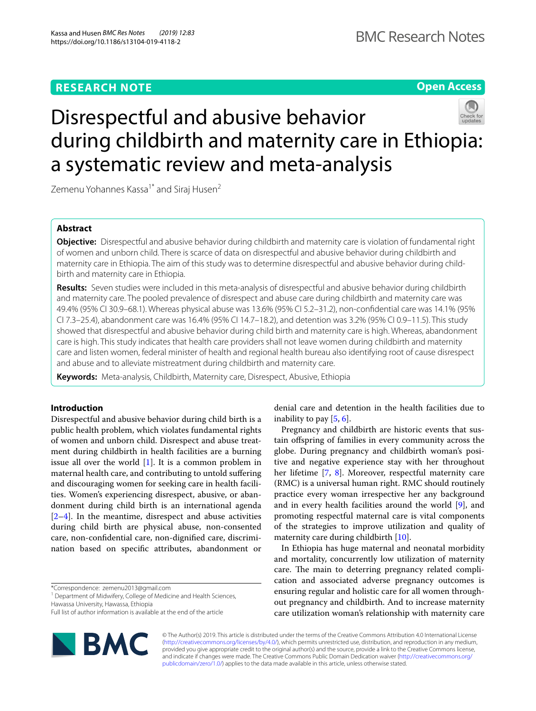# **RESEARCH NOTE**

**Open Access**

# Disrespectful and abusive behavior during childbirth and maternity care in Ethiopia: a systematic review and meta-analysis

Zemenu Yohannes Kassa<sup>1\*</sup> and Siraj Husen<sup>2</sup>

## **Abstract**

**Objective:** Disrespectful and abusive behavior during childbirth and maternity care is violation of fundamental right of women and unborn child. There is scarce of data on disrespectful and abusive behavior during childbirth and maternity care in Ethiopia. The aim of this study was to determine disrespectful and abusive behavior during childbirth and maternity care in Ethiopia.

**Results:** Seven studies were included in this meta-analysis of disrespectful and abusive behavior during childbirth and maternity care. The pooled prevalence of disrespect and abuse care during childbirth and maternity care was 49.4% (95% CI 30.9–68.1). Whereas physical abuse was 13.6% (95% CI 5.2–31.2), non-confdential care was 14.1% (95% CI 7.3–25.4), abandonment care was 16.4% (95% CI 14.7–18.2), and detention was 3.2% (95% CI 0.9–11.5). This study showed that disrespectful and abusive behavior during child birth and maternity care is high. Whereas, abandonment care is high. This study indicates that health care providers shall not leave women during childbirth and maternity care and listen women, federal minister of health and regional health bureau also identifying root of cause disrespect and abuse and to alleviate mistreatment during childbirth and maternity care.

**Keywords:** Meta-analysis, Childbirth, Maternity care, Disrespect, Abusive, Ethiopia

## **Introduction**

Disrespectful and abusive behavior during child birth is a public health problem, which violates fundamental rights of women and unborn child. Disrespect and abuse treatment during childbirth in health facilities are a burning issue all over the world  $[1]$  $[1]$ . It is a common problem in maternal health care, and contributing to untold sufering and discouraging women for seeking care in health facilities. Women's experiencing disrespect, abusive, or abandonment during child birth is an international agenda  $[2-4]$  $[2-4]$ . In the meantime, disrespect and abuse activities during child birth are physical abuse, non-consented care, non-confdential care, non-dignifed care, discrimination based on specifc attributes, abandonment or

\*Correspondence: zemenu2013@gmail.com

<sup>1</sup> Department of Midwifery, College of Medicine and Health Sciences, Hawassa University, Hawassa, Ethiopia

Full list of author information is available at the end of the article



denial care and detention in the health facilities due to inability to pay  $[5, 6]$  $[5, 6]$  $[5, 6]$ .

Pregnancy and childbirth are historic events that sustain ofspring of families in every community across the globe. During pregnancy and childbirth woman's positive and negative experience stay with her throughout her lifetime [[7,](#page-5-5) [8](#page-5-6)]. Moreover, respectful maternity care (RMC) is a universal human right. RMC should routinely practice every woman irrespective her any background and in every health facilities around the world [\[9](#page-5-7)], and promoting respectful maternal care is vital components of the strategies to improve utilization and quality of maternity care during childbirth [[10\]](#page-5-8).

In Ethiopia has huge maternal and neonatal morbidity and mortality, concurrently low utilization of maternity care. The main to deterring pregnancy related complication and associated adverse pregnancy outcomes is ensuring regular and holistic care for all women throughout pregnancy and childbirth. And to increase maternity care utilization woman's relationship with maternity care

© The Author(s) 2019. This article is distributed under the terms of the Creative Commons Attribution 4.0 International License [\(http://creativecommons.org/licenses/by/4.0/\)](http://creativecommons.org/licenses/by/4.0/), which permits unrestricted use, distribution, and reproduction in any medium, provided you give appropriate credit to the original author(s) and the source, provide a link to the Creative Commons license, and indicate if changes were made. The Creative Commons Public Domain Dedication waiver ([http://creativecommons.org/](http://creativecommons.org/publicdomain/zero/1.0/) [publicdomain/zero/1.0/](http://creativecommons.org/publicdomain/zero/1.0/)) applies to the data made available in this article, unless otherwise stated.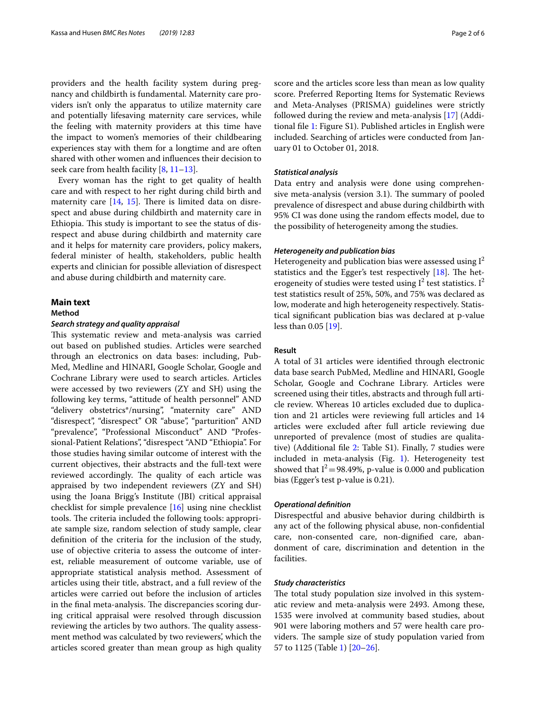providers and the health facility system during pregnancy and childbirth is fundamental. Maternity care providers isn't only the apparatus to utilize maternity care and potentially lifesaving maternity care services, while the feeling with maternity providers at this time have the impact to women's memories of their childbearing experiences stay with them for a longtime and are often shared with other women and infuences their decision to seek care from health facility  $[8, 11-13]$  $[8, 11-13]$  $[8, 11-13]$  $[8, 11-13]$ .

Every woman has the right to get quality of health care and with respect to her right during child birth and maternity care  $[14, 15]$  $[14, 15]$  $[14, 15]$  $[14, 15]$ . There is limited data on disrespect and abuse during childbirth and maternity care in Ethiopia. This study is important to see the status of disrespect and abuse during childbirth and maternity care and it helps for maternity care providers, policy makers, federal minister of health, stakeholders, public health experts and clinician for possible alleviation of disrespect and abuse during childbirth and maternity care.

## **Main text**

## **Method**

### *Search strategy and quality appraisal*

This systematic review and meta-analysis was carried out based on published studies. Articles were searched through an electronics on data bases: including, Pub-Med, Medline and HINARI, Google Scholar, Google and Cochrane Library were used to search articles. Articles were accessed by two reviewers (ZY and SH) using the following key terms, "attitude of health personnel" AND "delivery obstetrics\*/nursing", "maternity care" AND "disrespect", "disrespect" OR "abuse", "parturition" AND "prevalence", "Professional Misconduct" AND "Professional-Patient Relations", "disrespect "AND "Ethiopia". For those studies having similar outcome of interest with the current objectives, their abstracts and the full-text were reviewed accordingly. The quality of each article was appraised by two independent reviewers (ZY and SH) using the Joana Brigg's Institute (JBI) critical appraisal checklist for simple prevalence [[16\]](#page-5-13) using nine checklist tools. The criteria included the following tools: appropriate sample size, random selection of study sample, clear defnition of the criteria for the inclusion of the study, use of objective criteria to assess the outcome of interest, reliable measurement of outcome variable, use of appropriate statistical analysis method. Assessment of articles using their title, abstract, and a full review of the articles were carried out before the inclusion of articles in the final meta-analysis. The discrepancies scoring during critical appraisal were resolved through discussion reviewing the articles by two authors. The quality assessment method was calculated by two reviewers', which the articles scored greater than mean group as high quality score and the articles score less than mean as low quality score. Preferred Reporting Items for Systematic Reviews and Meta-Analyses (PRISMA) guidelines were strictly followed during the review and meta-analysis [\[17](#page-5-14)] (Additional fle [1](#page-4-0): Figure S1). Published articles in English were included. Searching of articles were conducted from January 01 to October 01, 2018.

## *Statistical analysis*

Data entry and analysis were done using comprehensive meta-analysis (version 3.1). The summary of pooled prevalence of disrespect and abuse during childbirth with 95% CI was done using the random efects model, due to the possibility of heterogeneity among the studies.

## *Heterogeneity and publication bias*

Heterogeneity and publication bias were assessed using  $I^2$ statistics and the Egger's test respectively  $[18]$  $[18]$ . The heterogeneity of studies were tested using  $I^2$  test statistics.  $I^2$ test statistics result of 25%, 50%, and 75% was declared as low, moderate and high heterogeneity respectively. Statistical signifcant publication bias was declared at p-value less than 0.05 [\[19\]](#page-5-16).

## **Result**

A total of 31 articles were identifed through electronic data base search PubMed, Medline and HINARI, Google Scholar, Google and Cochrane Library. Articles were screened using their titles, abstracts and through full article review. Whereas 10 articles excluded due to duplication and 21 articles were reviewing full articles and 14 articles were excluded after full article reviewing due unreported of prevalence (most of studies are qualitative) (Additional fle [2:](#page-4-1) Table S1). Finally, 7 studies were included in meta-analysis (Fig. [1](#page-2-0)). Heterogeneity test showed that  $I^2 = 98.49\%$ , p-value is 0.000 and publication bias (Egger's test p-value is 0.21).

## *Operational defnition*

Disrespectful and abusive behavior during childbirth is any act of the following physical abuse, non-confdential care, non-consented care, non-dignifed care, abandonment of care, discrimination and detention in the facilities.

## *Study characteristics*

The total study population size involved in this systematic review and meta-analysis were 2493. Among these, 1535 were involved at community based studies, about 901 were laboring mothers and 57 were health care providers. The sample size of study population varied from 57 to 1125 (Table [1](#page-3-0)) [[20–](#page-5-17)[26\]](#page-5-18).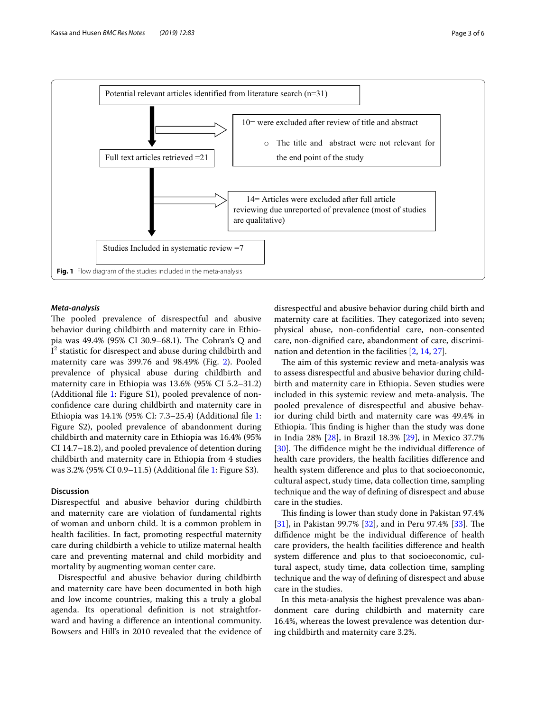

## <span id="page-2-0"></span>*Meta‑analysis*

The pooled prevalence of disrespectful and abusive behavior during childbirth and maternity care in Ethiopia was 49.4% (95% CI 30.9–68.1). The Cohran's Q and  ${\rm I}^2$  statistic for disrespect and abuse during childbirth and maternity care was 399.76 and 98.49% (Fig. [2\)](#page-4-2). Pooled prevalence of physical abuse during childbirth and maternity care in Ethiopia was 13.6% (95% CI 5.2–31.2) (Additional fle [1](#page-4-0): Figure S1), pooled prevalence of nonconfdence care during childbirth and maternity care in Ethiopia was 14.1% (95% CI: 7.3–25.4) (Additional fle [1](#page-4-0): Figure S2), pooled prevalence of abandonment during childbirth and maternity care in Ethiopia was 16.4% (95% CI 14.7–18.2), and pooled prevalence of detention during childbirth and maternity care in Ethiopia from 4 studies was 3.2% (95% CI 0.9–11.5) (Additional fle [1](#page-4-0): Figure S3).

## **Discussion**

Disrespectful and abusive behavior during childbirth and maternity care are violation of fundamental rights of woman and unborn child. It is a common problem in health facilities. In fact, promoting respectful maternity care during childbirth a vehicle to utilize maternal health care and preventing maternal and child morbidity and mortality by augmenting woman center care.

Disrespectful and abusive behavior during childbirth and maternity care have been documented in both high and low income countries, making this a truly a global agenda. Its operational defnition is not straightforward and having a diference an intentional community. Bowsers and Hill's in 2010 revealed that the evidence of disrespectful and abusive behavior during child birth and maternity care at facilities. They categorized into seven; physical abuse, non-confdential care, non-consented care, non-dignifed care, abandonment of care, discrimination and detention in the facilities [[2,](#page-5-1) [14,](#page-5-11) [27](#page-5-19)].

The aim of this systemic review and meta-analysis was to assess disrespectful and abusive behavior during childbirth and maternity care in Ethiopia. Seven studies were included in this systemic review and meta-analysis. The pooled prevalence of disrespectful and abusive behavior during child birth and maternity care was 49.4% in Ethiopia. This finding is higher than the study was done in India 28% [[28\]](#page-5-20), in Brazil 18.3% [\[29\]](#page-5-21), in Mexico 37.7% [[30\]](#page-5-22). The diffidence might be the individual difference of health care providers, the health facilities diference and health system diference and plus to that socioeconomic, cultural aspect, study time, data collection time, sampling technique and the way of defning of disrespect and abuse care in the studies.

This finding is lower than study done in Pakistan 97.4% [[31\]](#page-5-23), in Pakistan 99.7% [\[32\]](#page-5-24), and in Peru 97.4% [[33\]](#page-5-25). The difdence might be the individual diference of health care providers, the health facilities diference and health system diference and plus to that socioeconomic, cultural aspect, study time, data collection time, sampling technique and the way of defning of disrespect and abuse care in the studies.

In this meta-analysis the highest prevalence was abandonment care during childbirth and maternity care 16.4%, whereas the lowest prevalence was detention during childbirth and maternity care 3.2%.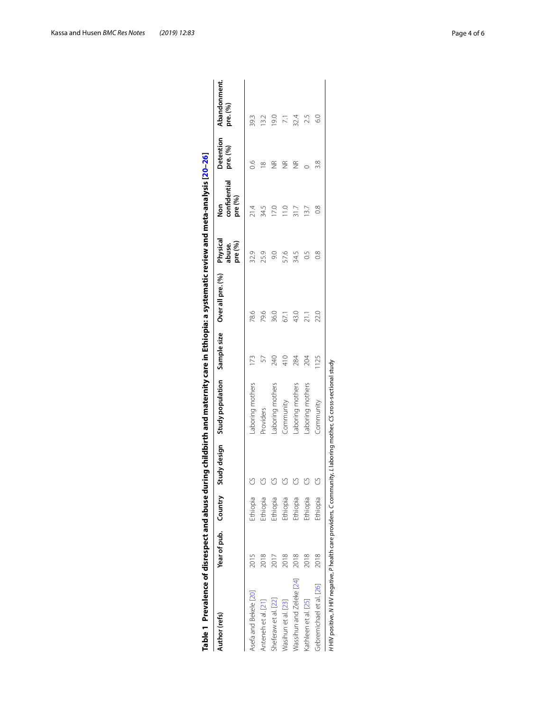<span id="page-3-0"></span>

|                          |      |          | Table 1 Prevalence of disrespect and abuse during childbirth and maternity care in Ethiopia: a systematic review and meta-analysis [20–26] |               |      |                               |                                    |                              |                          |
|--------------------------|------|----------|--------------------------------------------------------------------------------------------------------------------------------------------|---------------|------|-------------------------------|------------------------------------|------------------------------|--------------------------|
| Author (refs)            |      |          | Year of pub. Country Study design Study population Sample size Over all pre. (%)                                                           |               |      | Physical<br>pre (%)<br>abuse. | confidential<br>pre (%)<br>os<br>2 | <b>Detention</b><br>pre. (%) | Abandonment.<br>pre. (%) |
| Asefa and Bekele [20]    | 2015 | thiopia  | aboring mothers                                                                                                                            |               | 78.6 | 32.9                          | 21.4                               | S.                           | 39.3                     |
| Anteneh et al. [21]      | 2018 | Ethiopia | Providers                                                                                                                                  |               | 79.6 | 25.9                          | 34.5                               | ∞                            | 13.2                     |
| sheferaw et al. [22]     | 2017 | Ethiopia | aboring mothers                                                                                                                            | 240           | 36.0 | $\overline{6}$                | 7.0                                | JR                           | 0.61                     |
| Vasihun et al. [23]      | 2018 | Ethiopia | Community                                                                                                                                  | $\frac{1}{4}$ | 67.1 | 57.6                          | $\frac{1}{2}$                      | JR                           |                          |
| Vassihun and Zeleke [24] | 2018 | Ethiopia | aboring mothers                                                                                                                            | 284           | 43.0 | 34.5                          | 31.7                               | ΨŘ                           | 32.4                     |
| (athleen et al. [25]     | 2018 | Ethiopia | aboring mothers                                                                                                                            | 204           |      | C5                            | 3.7                                |                              |                          |
| Gebremichael et al. [26] | 2018 | thiopia  | Community                                                                                                                                  | 1125          | 22.0 | $\frac{8}{2}$                 | $\frac{8}{2}$                      | 3.8                          | $\frac{0}{2}$            |
|                          |      |          | HHIV positive, N HIV negative, P health care providers, C community, L laboring mother, CS cross-sectional study                           |               |      |                               |                                    |                              |                          |

| j           |     |
|-------------|-----|
| י<br>י<br>Í |     |
|             |     |
|             |     |
|             | ֡֡֡ |
|             |     |
|             |     |
|             |     |
|             |     |
|             |     |
|             |     |
| I           |     |
|             |     |
|             |     |
|             |     |
|             |     |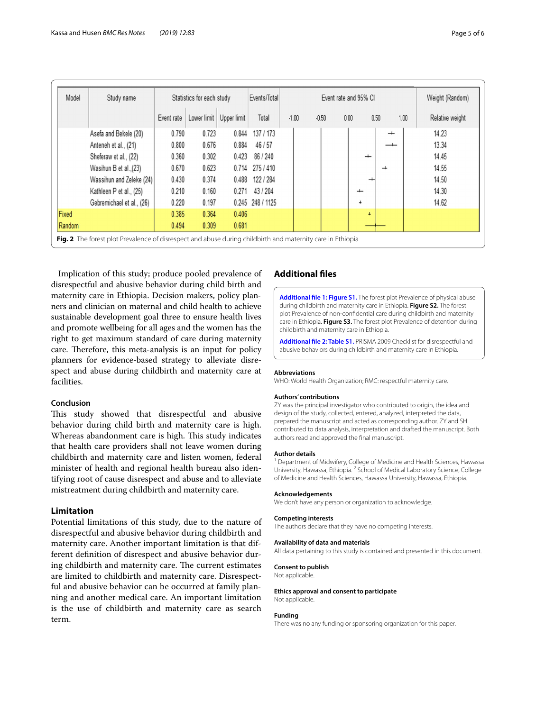| Model                                                                                                      | Study name                | Statistics for each study |             | Events/Total | Event rate and 95% CI |         |         |      |                          | Weight (Random)          |                 |
|------------------------------------------------------------------------------------------------------------|---------------------------|---------------------------|-------------|--------------|-----------------------|---------|---------|------|--------------------------|--------------------------|-----------------|
|                                                                                                            |                           | Event rate                | Lower limit | Upper limit  | Total                 | $-1.00$ | $-0.50$ | 0.00 | 0.50                     | 1.00                     | Relative weight |
|                                                                                                            | Asefa and Bekele (20)     | 0.790                     | 0.723       | 0.844        | 137 / 173             |         |         |      |                          | $\overline{\phantom{0}}$ | 14.23           |
|                                                                                                            | Anteneh et al., (21)      | 0.800                     | 0.676       | 0.884        | 46/57                 |         |         |      |                          |                          | 13.34           |
|                                                                                                            | Sheferaw et al., (22)     | 0.360                     | 0.302       | 0.423        | 86 / 240              |         |         |      | $\overline{\phantom{0}}$ |                          | 14.45           |
|                                                                                                            | Wasihun B et al., (23)    | 0.670                     | 0.623       | 0.714        | 275 / 410             |         |         |      | ┵                        |                          | 14.55           |
|                                                                                                            | Wassihun and Zeleke (24)  | 0.430                     | 0.374       | 0.488        | 122 / 284             |         |         |      | ┵                        |                          | 14.50           |
|                                                                                                            | Kathleen P et al., (25)   | 0.210                     | 0.160       | 0.271        | 43/204                |         |         |      | $\overline{\phantom{0}}$ |                          | 14.30           |
|                                                                                                            | Gebremichael et al., (26) | 0.220                     | 0.197       |              | 0.245 248 / 1125      |         |         |      | $\ddot{}$                |                          | 14.62           |
| Fixed                                                                                                      |                           | 0.385                     | 0.364       | 0.406        |                       |         |         |      | $\ddot{\phantom{1}}$     |                          |                 |
| Random                                                                                                     |                           | 0.494                     | 0.309       | 0.681        |                       |         |         |      |                          |                          |                 |
| Fig. 2 The forest plot Prevalence of disrespect and abuse during childbirth and maternity care in Ethiopia |                           |                           |             |              |                       |         |         |      |                          |                          |                 |

<span id="page-4-2"></span>Implication of this study; produce pooled prevalence of disrespectful and abusive behavior during child birth and maternity care in Ethiopia. Decision makers, policy planners and clinician on maternal and child health to achieve sustainable development goal three to ensure health lives and promote wellbeing for all ages and the women has the right to get maximum standard of care during maternity care. Therefore, this meta-analysis is an input for policy planners for evidence-based strategy to alleviate disrespect and abuse during childbirth and maternity care at facilities.

## **Conclusion**

This study showed that disrespectful and abusive behavior during child birth and maternity care is high. Whereas abandonment care is high. This study indicates that health care providers shall not leave women during childbirth and maternity care and listen women, federal minister of health and regional health bureau also identifying root of cause disrespect and abuse and to alleviate mistreatment during childbirth and maternity care.

## **Limitation**

Potential limitations of this study, due to the nature of disrespectful and abusive behavior during childbirth and maternity care. Another important limitation is that different defnition of disrespect and abusive behavior during childbirth and maternity care. The current estimates are limited to childbirth and maternity care. Disrespectful and abusive behavior can be occurred at family planning and another medical care. An important limitation is the use of childbirth and maternity care as search term.

## **Additional fles**

<span id="page-4-0"></span>**[Additional fle 1: Figure S1.](https://doi.org/10.1186/s13104-019-4118-2)** The forest plot Prevalence of physical abuse during childbirth and maternity care in Ethiopia. **Figure S2.** The forest plot Prevalence of non-confdential care during childbirth and maternity care in Ethiopia. **Figure S3.** The forest plot Prevalence of detention during childbirth and maternity care in Ethiopia.

<span id="page-4-1"></span>**[Additional fle 2: Table S1.](https://doi.org/10.1186/s13104-019-4118-2)** PRISMA 2009 Checklist for disrespectful and abusive behaviors during childbirth and maternity care in Ethiopia.

#### **Abbreviations**

WHO: World Health Organization; RMC: respectful maternity care.

#### **Authors' contributions**

ZY was the principal investigator who contributed to origin, the idea and design of the study, collected, entered, analyzed, interpreted the data, prepared the manuscript and acted as corresponding author. ZY and SH contributed to data analysis, interpretation and drafted the manuscript. Both authors read and approved the fnal manuscript.

#### **Author details**

<sup>1</sup> Department of Midwifery, College of Medicine and Health Sciences, Hawassa University, Hawassa, Ethiopia. <sup>2</sup> School of Medical Laboratory Science, College of Medicine and Health Sciences, Hawassa University, Hawassa, Ethiopia.

## **Acknowledgements**

We don't have any person or organization to acknowledge.

#### **Competing interests**

The authors declare that they have no competing interests.

#### **Availability of data and materials**

All data pertaining to this study is contained and presented in this document.

## **Consent to publish**

Not applicable.

#### **Ethics approval and consent to participate** Not applicable.

#### **Funding**

There was no any funding or sponsoring organization for this paper.